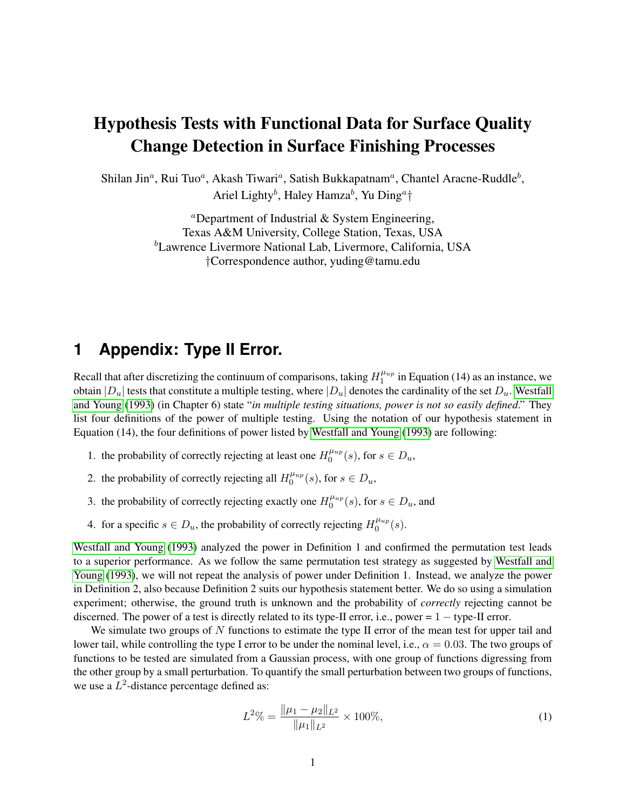## Hypothesis Tests with Functional Data for Surface Quality Change Detection in Surface Finishing Processes

Shilan Jin<sup>a</sup>, Rui Tuo<sup>a</sup>, Akash Tiwari<sup>a</sup>, Satish Bukkapatnam<sup>a</sup>, Chantel Aracne-Ruddle<sup>b</sup>, Ariel Lighty<sup>b</sup>, Haley Hamza<sup>b</sup>, Yu Ding<sup>a</sup>†

> $a$ Department of Industrial & System Engineering, Texas A&M University, College Station, Texas, USA  ${}^b$ Lawrence Livermore National Lab, Livermore, California, USA †Correspondence author, yuding@tamu.edu

## **1 Appendix: Type II Error.**

Recall that after discretizing the continuum of comparisons, taking  $H_1^{\mu_{up}}$  $\frac{\mu_{up}}{1}$  in Equation (14) as an instance, we obtain  $|D_u|$  tests that constitute a multiple testing, where  $|D_u|$  denotes the cardinality of the set  $D_u$ . [Westfall](#page-2-0) [and Young](#page-2-0) [\(1993\)](#page-2-0) (in Chapter 6) state "*in multiple testing situations, power is not so easily defined*." They list four definitions of the power of multiple testing. Using the notation of our hypothesis statement in Equation (14), the four definitions of power listed by [Westfall and Young](#page-2-0) [\(1993\)](#page-2-0) are following:

- 1. the probability of correctly rejecting at least one  $H_0^{\mu_{up}}$  $\big\{ \begin{aligned} \theta^{u_1}_{0}(s), \text{ for } s \in D_u, \end{aligned} \right.$
- 2. the probability of correctly rejecting all  $H_0^{\mu_{up}}$  $\big\{ \begin{aligned} \theta^{u_1}_{0}(s), \text{ for } s \in D_u, \end{aligned} \right.$
- 3. the probability of correctly rejecting exactly one  $H_0^{\mu_{up}}$  $\binom{\mu_{up}}{0}(s)$ , for  $s \in D_u$ , and
- 4. for a specific  $s \in D_u$ , the probability of correctly rejecting  $H_0^{\mu_{up}}$  $\binom{\mu_{up}}{0}(s).$

[Westfall and Young](#page-2-0) [\(1993\)](#page-2-0) analyzed the power in Definition 1 and confirmed the permutation test leads to a superior performance. As we follow the same permutation test strategy as suggested by [Westfall and](#page-2-0) [Young](#page-2-0) [\(1993\)](#page-2-0), we will not repeat the analysis of power under Definition 1. Instead, we analyze the power in Definition 2, also because Definition 2 suits our hypothesis statement better. We do so using a simulation experiment; otherwise, the ground truth is unknown and the probability of *correctly* rejecting cannot be discerned. The power of a test is directly related to its type-II error, i.e., power =  $1 -$  type-II error.

We simulate two groups of  $N$  functions to estimate the type II error of the mean test for upper tail and lower tail, while controlling the type I error to be under the nominal level, i.e.,  $\alpha = 0.03$ . The two groups of functions to be tested are simulated from a Gaussian process, with one group of functions digressing from the other group by a small perturbation. To quantify the small perturbation between two groups of functions, we use a  $L^2$ -distance percentage defined as:

$$
L^2\% = \frac{\|\mu_1 - \mu_2\|_{L^2}}{\|\mu_1\|_{L^2}} \times 100\%,\tag{1}
$$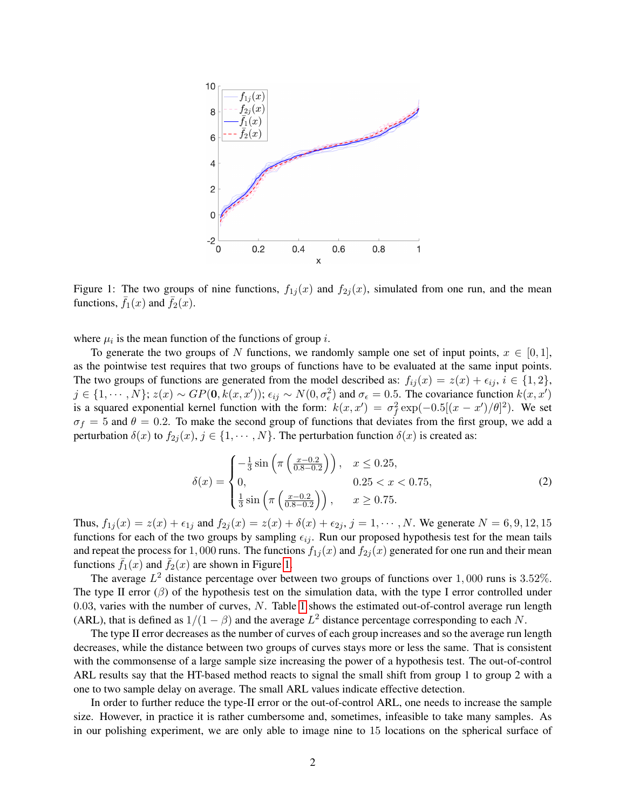<span id="page-1-0"></span>

Figure 1: The two groups of nine functions,  $f_{1j}(x)$  and  $f_{2j}(x)$ , simulated from one run, and the mean functions,  $\bar{f}_1(x)$  and  $\bar{f}_2(x)$ .

where  $\mu_i$  is the mean function of the functions of group i.

To generate the two groups of N functions, we randomly sample one set of input points,  $x \in [0, 1]$ , as the pointwise test requires that two groups of functions have to be evaluated at the same input points. The two groups of functions are generated from the model described as:  $f_{ij}(x) = z(x) + \epsilon_{ij}, i \in \{1,2\},\$  $j \in \{1, \dots, N\}$ ;  $z(x) \sim GP(\mathbf{0}, k(x, x'))$ ;  $\epsilon_{ij} \sim N(0, \sigma_{\epsilon}^2)$  and  $\sigma_{\epsilon} = 0.5$ . The covariance function  $k(x, x')$ is a squared exponential kernel function with the form:  $k(x, x') = \sigma_f^2 \exp(-0.5[(x - x')/\theta]^2)$ . We set  $\sigma_f = 5$  and  $\theta = 0.2$ . To make the second group of functions that deviates from the first group, we add a perturbation  $\delta(x)$  to  $f_{2i}(x), j \in \{1, \cdots, N\}$ . The perturbation function  $\delta(x)$  is created as:

$$
\delta(x) = \begin{cases}\n-\frac{1}{3}\sin\left(\pi\left(\frac{x-0.2}{0.8-0.2}\right)\right), & x \le 0.25, \\
0, & 0.25 < x < 0.75, \\
\frac{1}{3}\sin\left(\pi\left(\frac{x-0.2}{0.8-0.2}\right)\right), & x \ge 0.75.\n\end{cases}
$$
\n(2)

Thus,  $f_{1j}(x) = z(x) + \epsilon_{1j}$  and  $f_{2j}(x) = z(x) + \delta(x) + \epsilon_{2j}$ ,  $j = 1, \dots, N$ . We generate  $N = 6, 9, 12, 15$ functions for each of the two groups by sampling  $\epsilon_{ij}$ . Run our proposed hypothesis test for the mean tails and repeat the process for 1,000 runs. The functions  $f_{1j}(x)$  and  $f_{2j}(x)$  generated for one run and their mean functions  $\bar{f}_1(x)$  and  $\bar{f}_2(x)$  are shown in Figure [1.](#page-1-0)

The average  $L^2$  distance percentage over between two groups of functions over 1,000 runs is 3.52%. The type II error  $(\beta)$  of the hypothesis test on the simulation data, with the type I error controlled under 0.03, varies with the number of curves,  $N$ . Table [1](#page-2-1) shows the estimated out-of-control average run length (ARL), that is defined as  $1/(1 - \beta)$  and the average  $L^2$  distance percentage corresponding to each N.

The type II error decreases as the number of curves of each group increases and so the average run length decreases, while the distance between two groups of curves stays more or less the same. That is consistent with the commonsense of a large sample size increasing the power of a hypothesis test. The out-of-control ARL results say that the HT-based method reacts to signal the small shift from group 1 to group 2 with a one to two sample delay on average. The small ARL values indicate effective detection.

In order to further reduce the type-II error or the out-of-control ARL, one needs to increase the sample size. However, in practice it is rather cumbersome and, sometimes, infeasible to take many samples. As in our polishing experiment, we are only able to image nine to 15 locations on the spherical surface of